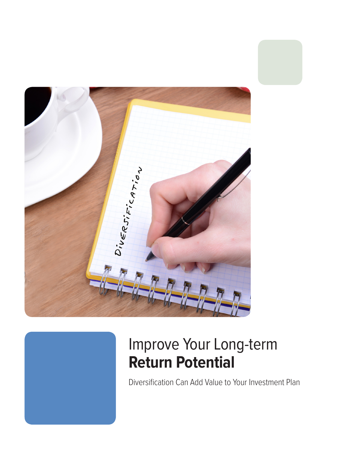

# Improve Your Long-term **Return Potential**

Diversification Can Add Value to Your Investment Plan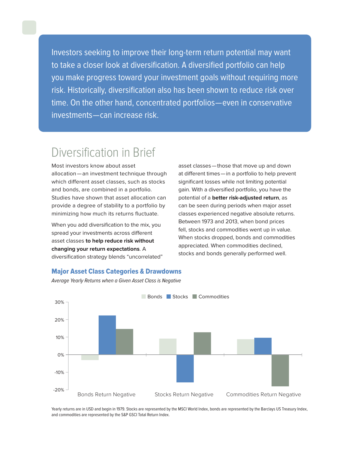Investors seeking to improve their long-term return potential may want to take a closer look at diversification. A diversified portfolio can help you make progress toward your investment goals without requiring more risk. Historically, diversification also has been shown to reduce risk over time. On the other hand, concentrated portfolios — even in conservative investments — can increase risk.

### Diversification in Brief

Most investors know about asset allocation—an investment technique through which different asset classes, such as stocks and bonds, are combined in a portfolio. Studies have shown that asset allocation can provide a degree of stability to a portfolio by minimizing how much its returns fluctuate.

When you add diversification to the mix, you spread your investments across different asset classes **to help reduce risk without changing your return expectations**. A diversification strategy blends "uncorrelated" asset classes—those that move up and down at different times—in a portfolio to help prevent significant losses while not limiting potential gain. With a diversified portfolio, you have the potential of a **better risk-adjusted return**, as can be seen during periods when major asset classes experienced negative absolute returns. Between 1973 and 2013, when bond prices fell, stocks and commodities went up in value. When stocks dropped, bonds and commodities appreciated. When commodities declined, stocks and bonds generally performed well.

#### Major Asset Class Categories & Drawdowns



Average Yearly Returns when a Given Asset Class is Negative

Yearly returns are in USD and begin in 1979. Stocks are represented by the MSCI World Index, bonds are represented by the Barclays US Treasury Index, and commodities are represented by the S&P GSCI Total Return Index.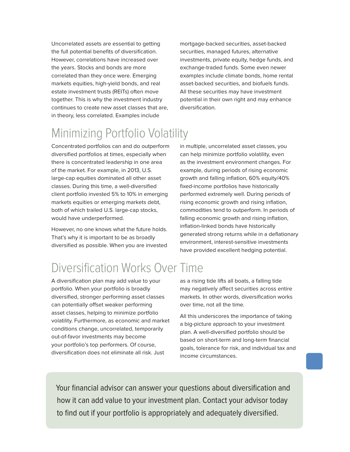Uncorrelated assets are essential to getting the full potential benefits of diversification. However, correlations have increased over the years. Stocks and bonds are more correlated than they once were. Emerging markets equities, high-yield bonds, and real estate investment trusts (REITs) often move together. This is why the investment industry continues to create new asset classes that are, in theory, less correlated. Examples include

mortgage-backed securities, asset-backed securities, managed futures, alternative investments, private equity, hedge funds, and exchange-traded funds. Some even newer examples include climate bonds, home rental asset-backed securities, and biofuels funds. All these securities may have investment potential in their own right and may enhance diversification.

### Minimizing Portfolio Volatility

Concentrated portfolios can and do outperform diversified portfolios at times, especially when there is concentrated leadership in one area of the market. For example, in 2013, U.S. large-cap equities dominated all other asset classes. During this time, a well-diversified client portfolio invested 5% to 10% in emerging markets equities or emerging markets debt, both of which trailed U.S. large-cap stocks, would have underperformed.

However, no one knows what the future holds. That's why it is important to be as broadly diversified as possible. When you are invested in multiple, uncorrelated asset classes, you can help minimize portfolio volatility, even as the investment environment changes. For example, during periods of rising economic growth and falling inflation, 60% equity/40% fixed-income portfolios have historically performed extremely well. During periods of rising economic growth and rising inflation, commodities tend to outperform. In periods of falling economic growth and rising inflation, inflation-linked bonds have historically generated strong returns while in a deflationary environment, interest-sensitive investments have provided excellent hedging potential.

## Diversification Works Over Time

A diversification plan may add value to your portfolio. When your portfolio is broadly diversified, stronger performing asset classes can potentially offset weaker performing asset classes, helping to minimize portfolio volatility. Furthermore, as economic and market conditions change, uncorrelated, temporarily out-of-favor investments may become your portfolio's top performers. Of course, diversification does not eliminate all risk. Just

as a rising tide lifts all boats, a falling tide may negatively affect securities across entire markets. In other words, diversification works over time, not all the time.

All this underscores the importance of taking a big-picture approach to your investment plan. A well-diversified portfolio should be based on short-term and long-term financial goals, tolerance for risk, and individual tax and income circumstances.

Your financial advisor can answer your questions about diversification and how it can add value to your investment plan. Contact your advisor today to find out if your portfolio is appropriately and adequately diversified.